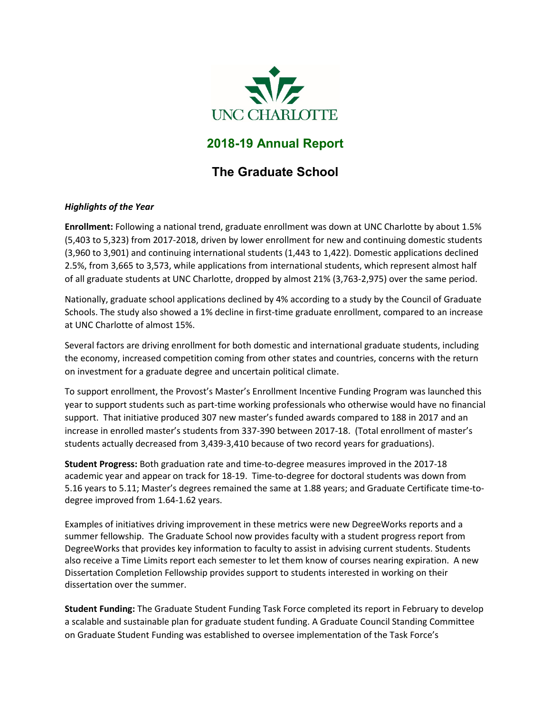

## **2018-19 Annual Report**

# **The Graduate School**

## *Highlights of the Year*

**Enrollment:** Following a national trend, graduate enrollment was down at UNC Charlotte by about 1.5% (5,403 to 5,323) from 2017-2018, driven by lower enrollment for new and continuing domestic students (3,960 to 3,901) and continuing international students (1,443 to 1,422). Domestic applications declined 2.5%, from 3,665 to 3,573, while applications from international students, which represent almost half of all graduate students at UNC Charlotte, dropped by almost 21% (3,763-2,975) over the same period.

Nationally, graduate school applications declined by 4% according to a study by the Council of Graduate Schools. The study also showed a 1% decline in first-time graduate enrollment, compared to an increase at UNC Charlotte of almost 15%.

Several factors are driving enrollment for both domestic and international graduate students, including the economy, increased competition coming from other states and countries, concerns with the return on investment for a graduate degree and uncertain political climate.

To support enrollment, the Provost's Master's Enrollment Incentive Funding Program was launched this year to support students such as part-time working professionals who otherwise would have no financial support. That initiative produced 307 new master's funded awards compared to 188 in 2017 and an increase in enrolled master's students from 337-390 between 2017-18. (Total enrollment of master's students actually decreased from 3,439-3,410 because of two record years for graduations).

**Student Progress:** Both graduation rate and time-to-degree measures improved in the 2017-18 academic year and appear on track for 18-19. Time-to-degree for doctoral students was down from 5.16 years to 5.11; Master's degrees remained the same at 1.88 years; and Graduate Certificate time-todegree improved from 1.64-1.62 years.

Examples of initiatives driving improvement in these metrics were new DegreeWorks reports and a summer fellowship. The Graduate School now provides faculty with a student progress report from DegreeWorks that provides key information to faculty to assist in advising current students. Students also receive a Time Limits report each semester to let them know of courses nearing expiration. A new Dissertation Completion Fellowship provides support to students interested in working on their dissertation over the summer.

**Student Funding:** The Graduate Student Funding Task Force completed its report in February to develop a scalable and sustainable plan for graduate student funding. A Graduate Council Standing Committee on Graduate Student Funding was established to oversee implementation of the Task Force's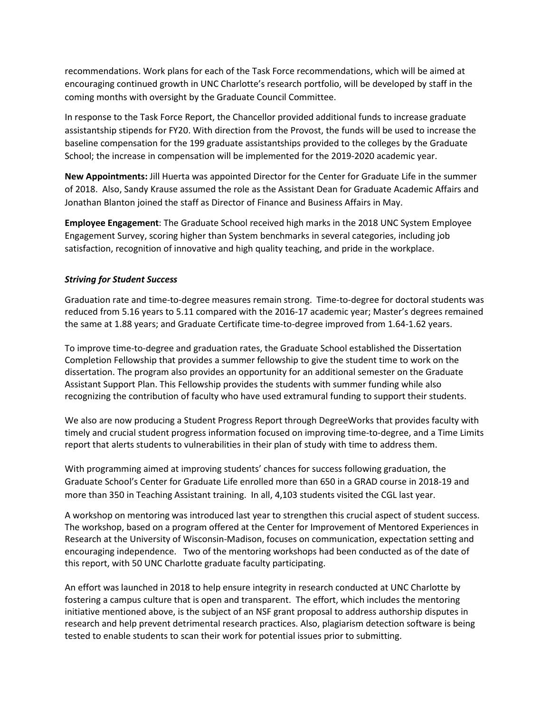recommendations. Work plans for each of the Task Force recommendations, which will be aimed at encouraging continued growth in UNC Charlotte's research portfolio, will be developed by staff in the coming months with oversight by the Graduate Council Committee.

In response to the Task Force Report, the Chancellor provided additional funds to increase graduate assistantship stipends for FY20. With direction from the Provost, the funds will be used to increase the baseline compensation for the 199 graduate assistantships provided to the colleges by the Graduate School; the increase in compensation will be implemented for the 2019-2020 academic year.

**New Appointments:** Jill Huerta was appointed Director for the Center for Graduate Life in the summer of 2018. Also, Sandy Krause assumed the role as the Assistant Dean for Graduate Academic Affairs and Jonathan Blanton joined the staff as Director of Finance and Business Affairs in May.

**Employee Engagement**: The Graduate School received high marks in the 2018 UNC System Employee Engagement Survey, scoring higher than System benchmarks in several categories, including job satisfaction, recognition of innovative and high quality teaching, and pride in the workplace.

## *Striving for Student Success*

Graduation rate and time-to-degree measures remain strong. Time-to-degree for doctoral students was reduced from 5.16 years to 5.11 compared with the 2016-17 academic year; Master's degrees remained the same at 1.88 years; and Graduate Certificate time-to-degree improved from 1.64-1.62 years.

To improve time-to-degree and graduation rates, the Graduate School established the Dissertation Completion Fellowship that provides a summer fellowship to give the student time to work on the dissertation. The program also provides an opportunity for an additional semester on the Graduate Assistant Support Plan. This Fellowship provides the students with summer funding while also recognizing the contribution of faculty who have used extramural funding to support their students.

We also are now producing a Student Progress Report through DegreeWorks that provides faculty with timely and crucial student progress information focused on improving time-to-degree, and a Time Limits report that alerts students to vulnerabilities in their plan of study with time to address them.

With programming aimed at improving students' chances for success following graduation, the Graduate School's Center for Graduate Life enrolled more than 650 in a GRAD course in 2018-19 and more than 350 in Teaching Assistant training. In all, 4,103 students visited the CGL last year.

A workshop on mentoring was introduced last year to strengthen this crucial aspect of student success. The workshop, based on a program offered at the Center for Improvement of Mentored Experiences in Research at the University of Wisconsin-Madison, focuses on communication, expectation setting and encouraging independence. Two of the mentoring workshops had been conducted as of the date of this report, with 50 UNC Charlotte graduate faculty participating.

An effort was launched in 2018 to help ensure integrity in research conducted at UNC Charlotte by fostering a campus culture that is open and transparent. The effort, which includes the mentoring initiative mentioned above, is the subject of an NSF grant proposal to address authorship disputes in research and help prevent detrimental research practices. Also, plagiarism detection software is being tested to enable students to scan their work for potential issues prior to submitting.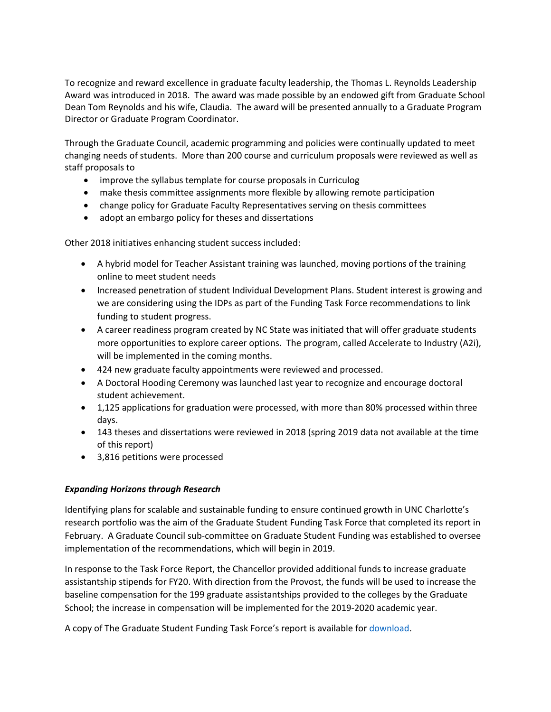To recognize and reward excellence in graduate faculty leadership, the Thomas L. Reynolds Leadership Award was introduced in 2018. The award was made possible by an endowed gift from Graduate School Dean Tom Reynolds and his wife, Claudia. The award will be presented annually to a Graduate Program Director or Graduate Program Coordinator.

Through the Graduate Council, academic programming and policies were continually updated to meet changing needs of students. More than 200 course and curriculum proposals were reviewed as well as staff proposals to

- improve the syllabus template for course proposals in Curriculog
- make thesis committee assignments more flexible by allowing remote participation
- change policy for Graduate Faculty Representatives serving on thesis committees
- adopt an embargo policy for theses and dissertations

Other 2018 initiatives enhancing student success included:

- A hybrid model for Teacher Assistant training was launched, moving portions of the training online to meet student needs
- Increased penetration of student Individual Development Plans. Student interest is growing and we are considering using the IDPs as part of the Funding Task Force recommendations to link funding to student progress.
- A career readiness program created by NC State was initiated that will offer graduate students more opportunities to explore career options. The program, called Accelerate to Industry (A2i), will be implemented in the coming months.
- 424 new graduate faculty appointments were reviewed and processed.
- A Doctoral Hooding Ceremony was launched last year to recognize and encourage doctoral student achievement.
- 1,125 applications for graduation were processed, with more than 80% processed within three days.
- 143 theses and dissertations were reviewed in 2018 (spring 2019 data not available at the time of this report)
- 3,816 petitions were processed

#### *Expanding Horizons through Research*

Identifying plans for scalable and sustainable funding to ensure continued growth in UNC Charlotte's research portfolio was the aim of the Graduate Student Funding Task Force that completed its report in February. A Graduate Council sub-committee on Graduate Student Funding was established to oversee implementation of the recommendations, which will begin in 2019.

In response to the Task Force Report, the Chancellor provided additional funds to increase graduate assistantship stipends for FY20. With direction from the Provost, the funds will be used to increase the baseline compensation for the 199 graduate assistantships provided to the colleges by the Graduate School; the increase in compensation will be implemented for the 2019-2020 academic year.

A copy of The Graduate Student Funding Task Force's report is available for [download.](https://graduateschool.uncc.edu/sites/graduateschool.uncc.edu/files/media/Graduate-Student-Funding-Task-Force-Report-2-2019.pdf)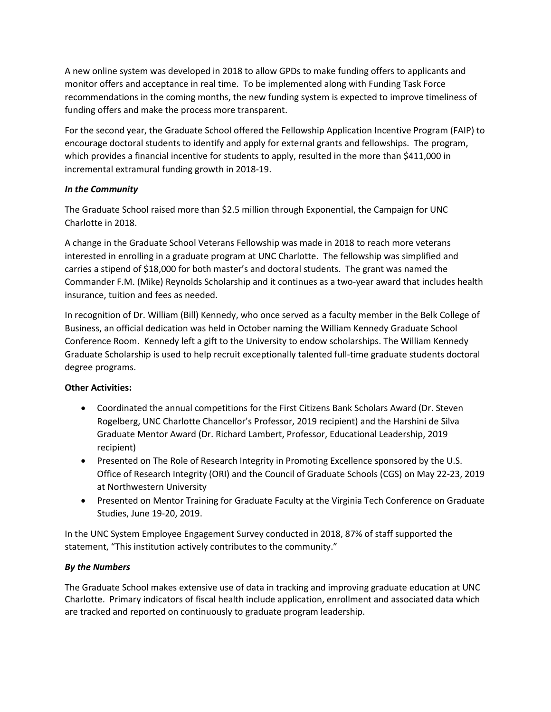A new online system was developed in 2018 to allow GPDs to make funding offers to applicants and monitor offers and acceptance in real time. To be implemented along with Funding Task Force recommendations in the coming months, the new funding system is expected to improve timeliness of funding offers and make the process more transparent.

For the second year, the Graduate School offered the Fellowship Application Incentive Program (FAIP) to encourage doctoral students to identify and apply for external grants and fellowships. The program, which provides a financial incentive for students to apply, resulted in the more than \$411,000 in incremental extramural funding growth in 2018-19.

## *In the Community*

The Graduate School raised more than \$2.5 million through Exponential, the Campaign for UNC Charlotte in 2018.

A change in the Graduate School Veterans Fellowship was made in 2018 to reach more veterans interested in enrolling in a graduate program at UNC Charlotte. The fellowship was simplified and carries a stipend of \$18,000 for both master's and doctoral students. The grant was named the Commander F.M. (Mike) Reynolds Scholarship and it continues as a two-year award that includes health insurance, tuition and fees as needed.

In recognition of Dr. William (Bill) Kennedy, who once served as a faculty member in the Belk College of Business, an official dedication was held in October naming the William Kennedy Graduate School Conference Room. Kennedy left a gift to the University to endow scholarships. The William Kennedy Graduate Scholarship is used to help recruit exceptionally talented full-time graduate students doctoral degree programs.

## **Other Activities:**

- Coordinated the annual competitions for the First Citizens Bank Scholars Award (Dr. Steven Rogelberg, UNC Charlotte Chancellor's Professor, 2019 recipient) and the Harshini de Silva Graduate Mentor Award (Dr. Richard Lambert, Professor, Educational Leadership, 2019 recipient)
- Presented on The Role of Research Integrity in Promoting Excellence sponsored by the U.S. Office of Research Integrity (ORI) and the Council of Graduate Schools (CGS) on May 22-23, 2019 at Northwestern University
- Presented on Mentor Training for Graduate Faculty at the Virginia Tech Conference on Graduate Studies, June 19-20, 2019.

In the UNC System Employee Engagement Survey conducted in 2018, 87% of staff supported the statement, "This institution actively contributes to the community."

#### *By the Numbers*

The Graduate School makes extensive use of data in tracking and improving graduate education at UNC Charlotte. Primary indicators of fiscal health include application, enrollment and associated data which are tracked and reported on continuously to graduate program leadership.